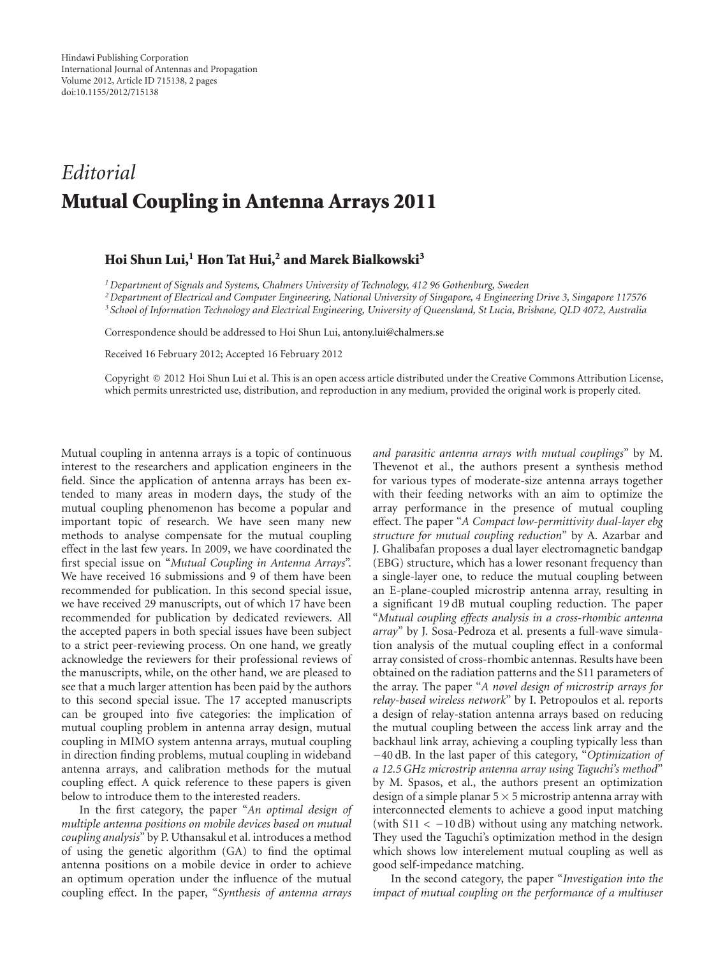## *Editorial* **Mutual Coupling in Antenna Arrays 2011**

## **Hoi Shun Lui,1 Hon Tat Hui,2 and Marek Bialkowski3**

*1Department of Signals and Systems, Chalmers University of Technology, 412 96 Gothenburg, Sweden*

*2Department of Electrical and Computer Engineering, National University of Singapore, 4 Engineering Drive 3, Singapore 117576 <sup>3</sup> School of Information Technology and Electrical Engineering, University of Queensland, St Lucia, Brisbane, QLD 4072, Australia*

Correspondence should be addressed to Hoi Shun Lui, antony.lui@chalmers.se

Received 16 February 2012; Accepted 16 February 2012

Copyright © 2012 Hoi Shun Lui et al. This is an open access article distributed under the Creative Commons Attribution License, which permits unrestricted use, distribution, and reproduction in any medium, provided the original work is properly cited.

Mutual coupling in antenna arrays is a topic of continuous interest to the researchers and application engineers in the field. Since the application of antenna arrays has been extended to many areas in modern days, the study of the mutual coupling phenomenon has become a popular and important topic of research. We have seen many new methods to analyse compensate for the mutual coupling effect in the last few years. In 2009, we have coordinated the first special issue on "*Mutual Coupling in Antenna Arrays*". We have received 16 submissions and 9 of them have been recommended for publication. In this second special issue, we have received 29 manuscripts, out of which 17 have been recommended for publication by dedicated reviewers. All the accepted papers in both special issues have been subject to a strict peer-reviewing process. On one hand, we greatly acknowledge the reviewers for their professional reviews of the manuscripts, while, on the other hand, we are pleased to see that a much larger attention has been paid by the authors to this second special issue. The 17 accepted manuscripts can be grouped into five categories: the implication of mutual coupling problem in antenna array design, mutual coupling in MIMO system antenna arrays, mutual coupling in direction finding problems, mutual coupling in wideband antenna arrays, and calibration methods for the mutual coupling effect. A quick reference to these papers is given below to introduce them to the interested readers.

In the first category, the paper "*An optimal design of multiple antenna positions on mobile devices based on mutual coupling analysis*" by P. Uthansakul et al. introduces a method of using the genetic algorithm (GA) to find the optimal antenna positions on a mobile device in order to achieve an optimum operation under the influence of the mutual coupling effect. In the paper, "*Synthesis of antenna arrays*

*and parasitic antenna arrays with mutual couplings*" by M. Thevenot et al., the authors present a synthesis method for various types of moderate-size antenna arrays together with their feeding networks with an aim to optimize the array performance in the presence of mutual coupling effect. The paper "*A Compact low-permittivity dual-layer ebg structure for mutual coupling reduction*" by A. Azarbar and J. Ghalibafan proposes a dual layer electromagnetic bandgap (EBG) structure, which has a lower resonant frequency than a single-layer one, to reduce the mutual coupling between an E-plane-coupled microstrip antenna array, resulting in a significant 19 dB mutual coupling reduction. The paper "*Mutual coupling effects analysis in a cross-rhombic antenna array*" by J. Sosa-Pedroza et al. presents a full-wave simulation analysis of the mutual coupling effect in a conformal array consisted of cross-rhombic antennas. Results have been obtained on the radiation patterns and the S11 parameters of the array. The paper "*A novel design of microstrip arrays for relay-based wireless network*" by I. Petropoulos et al. reports a design of relay-station antenna arrays based on reducing the mutual coupling between the access link array and the backhaul link array, achieving a coupling typically less than *−*40 dB. In the last paper of this category, "*Optimization of a 12.5 GHz microstrip antenna array using Taguchi's method*" by M. Spasos, et al., the authors present an optimization design of a simple planar 5 *×* 5 microstrip antenna array with interconnected elements to achieve a good input matching (with S11 *<sup>&</sup>lt; <sup>−</sup>*10 dB) without using any matching network. They used the Taguchi's optimization method in the design which shows low interelement mutual coupling as well as good self-impedance matching.

In the second category, the paper "*Investigation into the impact of mutual coupling on the performance of a multiuser*